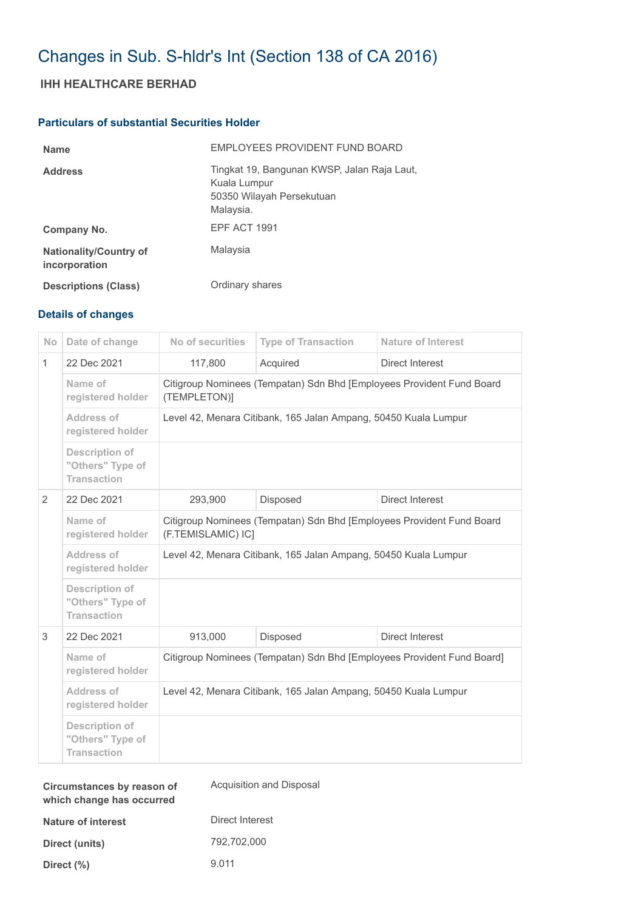# Changes in Sub. S-hldr's Int (Section 138 of CA 2016)

## **IHH HEALTHCARE BERHAD**

### **Particulars of substantial Securities Holder**

| <b>Name</b>                                    | EMPLOYEES PROVIDENT FUND BOARD                                                                        |
|------------------------------------------------|-------------------------------------------------------------------------------------------------------|
| <b>Address</b>                                 | Tingkat 19, Bangunan KWSP, Jalan Raja Laut,<br>Kuala Lumpur<br>50350 Wilayah Persekutuan<br>Malaysia. |
| Company No.                                    | EPF ACT 1991                                                                                          |
| <b>Nationality/Country of</b><br>incorporation | Malaysia                                                                                              |
| <b>Descriptions (Class)</b>                    | Ordinary shares                                                                                       |

### **Details of changes**

| <b>No</b>      | Date of change                                                  | No of securities                                                                            | <b>Type of Transaction</b> | <b>Nature of Interest</b> |  |
|----------------|-----------------------------------------------------------------|---------------------------------------------------------------------------------------------|----------------------------|---------------------------|--|
| $\mathbf{1}$   | 22 Dec 2021                                                     | 117,800                                                                                     | Acquired                   | <b>Direct Interest</b>    |  |
|                | Name of<br>registered holder                                    | Citigroup Nominees (Tempatan) Sdn Bhd [Employees Provident Fund Board<br>(TEMPLETON)]       |                            |                           |  |
|                | Address of<br>registered holder                                 | Level 42, Menara Citibank, 165 Jalan Ampang, 50450 Kuala Lumpur                             |                            |                           |  |
|                | <b>Description of</b><br>"Others" Type of<br><b>Transaction</b> |                                                                                             |                            |                           |  |
| $\overline{2}$ | 22 Dec 2021                                                     | 293,900                                                                                     | Disposed                   | Direct Interest           |  |
|                | Name of<br>registered holder                                    | Citigroup Nominees (Tempatan) Sdn Bhd [Employees Provident Fund Board<br>(F.TEMISLAMIC) IC] |                            |                           |  |
|                | Address of<br>registered holder                                 | Level 42, Menara Citibank, 165 Jalan Ampang, 50450 Kuala Lumpur                             |                            |                           |  |
|                | <b>Description of</b><br>"Others" Type of<br><b>Transaction</b> |                                                                                             |                            |                           |  |
| 3              | 22 Dec 2021                                                     | 913,000                                                                                     | Disposed                   | <b>Direct Interest</b>    |  |
|                | Name of<br>registered holder                                    | Citigroup Nominees (Tempatan) Sdn Bhd [Employees Provident Fund Board]                      |                            |                           |  |
|                | Address of<br>registered holder                                 | Level 42, Menara Citibank, 165 Jalan Ampang, 50450 Kuala Lumpur                             |                            |                           |  |
|                | <b>Description of</b><br>"Others" Type of<br><b>Transaction</b> |                                                                                             |                            |                           |  |

| Circumstances by reason of<br>which change has occurred | Acquisition and Disposal |
|---------------------------------------------------------|--------------------------|
| Nature of interest                                      | Direct Interest          |
| Direct (units)                                          | 792.702.000              |
| Direct (%)                                              | 9.011                    |